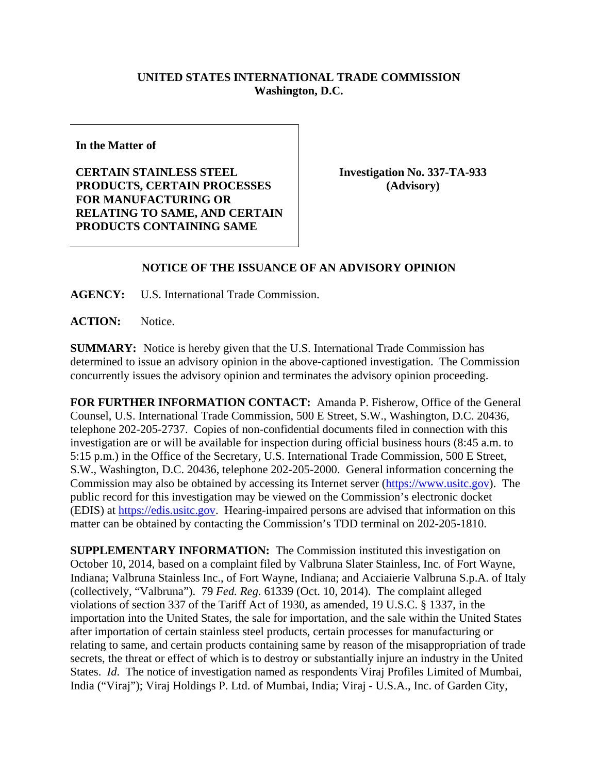## **UNITED STATES INTERNATIONAL TRADE COMMISSION Washington, D.C.**

**In the Matter of** 

**CERTAIN STAINLESS STEEL PRODUCTS, CERTAIN PROCESSES FOR MANUFACTURING OR RELATING TO SAME, AND CERTAIN PRODUCTS CONTAINING SAME** 

**Investigation No. 337-TA-933 (Advisory)** 

## **NOTICE OF THE ISSUANCE OF AN ADVISORY OPINION**

**AGENCY:** U.S. International Trade Commission.

**ACTION:** Notice.

**SUMMARY:** Notice is hereby given that the U.S. International Trade Commission has determined to issue an advisory opinion in the above-captioned investigation. The Commission concurrently issues the advisory opinion and terminates the advisory opinion proceeding.

**FOR FURTHER INFORMATION CONTACT:** Amanda P. Fisherow, Office of the General Counsel, U.S. International Trade Commission, 500 E Street, S.W., Washington, D.C. 20436, telephone 202-205-2737. Copies of non-confidential documents filed in connection with this investigation are or will be available for inspection during official business hours (8:45 a.m. to 5:15 p.m.) in the Office of the Secretary, U.S. International Trade Commission, 500 E Street, S.W., Washington, D.C. 20436, telephone 202-205-2000. General information concerning the Commission may also be obtained by accessing its Internet server (https://www.usitc.gov). The public record for this investigation may be viewed on the Commission's electronic docket (EDIS) at https://edis.usitc.gov. Hearing-impaired persons are advised that information on this matter can be obtained by contacting the Commission's TDD terminal on 202-205-1810.

**SUPPLEMENTARY INFORMATION:** The Commission instituted this investigation on October 10, 2014, based on a complaint filed by Valbruna Slater Stainless, Inc. of Fort Wayne, Indiana; Valbruna Stainless Inc., of Fort Wayne, Indiana; and Acciaierie Valbruna S.p.A. of Italy (collectively, "Valbruna"). 79 *Fed. Reg.* 61339 (Oct. 10, 2014). The complaint alleged violations of section 337 of the Tariff Act of 1930, as amended, 19 U.S.C. § 1337, in the importation into the United States, the sale for importation, and the sale within the United States after importation of certain stainless steel products, certain processes for manufacturing or relating to same, and certain products containing same by reason of the misappropriation of trade secrets, the threat or effect of which is to destroy or substantially injure an industry in the United States. *Id*. The notice of investigation named as respondents Viraj Profiles Limited of Mumbai, India ("Viraj"); Viraj Holdings P. Ltd. of Mumbai, India; Viraj - U.S.A., Inc. of Garden City,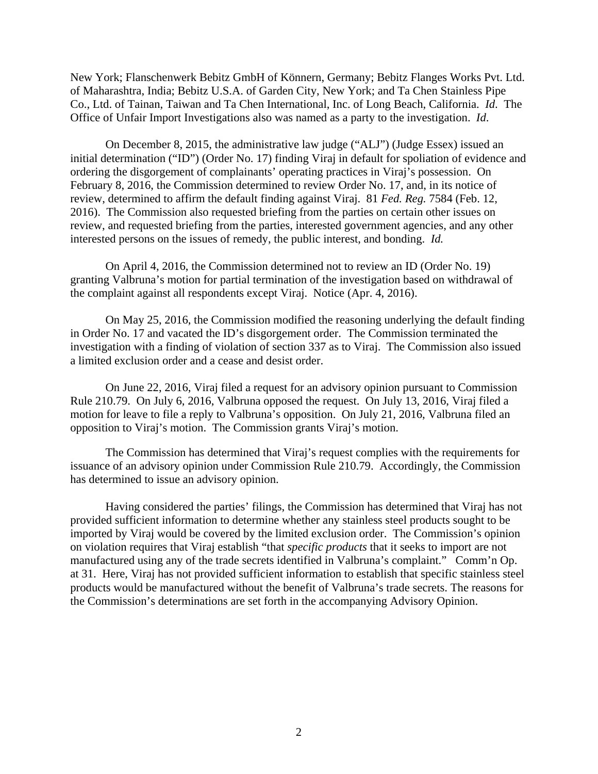New York; Flanschenwerk Bebitz GmbH of Könnern, Germany; Bebitz Flanges Works Pvt. Ltd. of Maharashtra, India; Bebitz U.S.A. of Garden City, New York; and Ta Chen Stainless Pipe Co., Ltd. of Tainan, Taiwan and Ta Chen International, Inc. of Long Beach, California. *Id*. The Office of Unfair Import Investigations also was named as a party to the investigation. *Id*.

On December 8, 2015, the administrative law judge ("ALJ") (Judge Essex) issued an initial determination ("ID") (Order No. 17) finding Viraj in default for spoliation of evidence and ordering the disgorgement of complainants' operating practices in Viraj's possession. On February 8, 2016, the Commission determined to review Order No. 17, and, in its notice of review, determined to affirm the default finding against Viraj. 81 *Fed. Reg.* 7584 (Feb. 12, 2016). The Commission also requested briefing from the parties on certain other issues on review, and requested briefing from the parties, interested government agencies, and any other interested persons on the issues of remedy, the public interest, and bonding. *Id.* 

On April 4, 2016, the Commission determined not to review an ID (Order No. 19) granting Valbruna's motion for partial termination of the investigation based on withdrawal of the complaint against all respondents except Viraj. Notice (Apr. 4, 2016).

On May 25, 2016, the Commission modified the reasoning underlying the default finding in Order No. 17 and vacated the ID's disgorgement order. The Commission terminated the investigation with a finding of violation of section 337 as to Viraj. The Commission also issued a limited exclusion order and a cease and desist order.

On June 22, 2016, Viraj filed a request for an advisory opinion pursuant to Commission Rule 210.79. On July 6, 2016, Valbruna opposed the request. On July 13, 2016, Viraj filed a motion for leave to file a reply to Valbruna's opposition. On July 21, 2016, Valbruna filed an opposition to Viraj's motion. The Commission grants Viraj's motion.

 The Commission has determined that Viraj's request complies with the requirements for issuance of an advisory opinion under Commission Rule 210.79. Accordingly, the Commission has determined to issue an advisory opinion.

 Having considered the parties' filings, the Commission has determined that Viraj has not provided sufficient information to determine whether any stainless steel products sought to be imported by Viraj would be covered by the limited exclusion order. The Commission's opinion on violation requires that Viraj establish "that *specific products* that it seeks to import are not manufactured using any of the trade secrets identified in Valbruna's complaint." Comm'n Op. at 31. Here, Viraj has not provided sufficient information to establish that specific stainless steel products would be manufactured without the benefit of Valbruna's trade secrets. The reasons for the Commission's determinations are set forth in the accompanying Advisory Opinion.